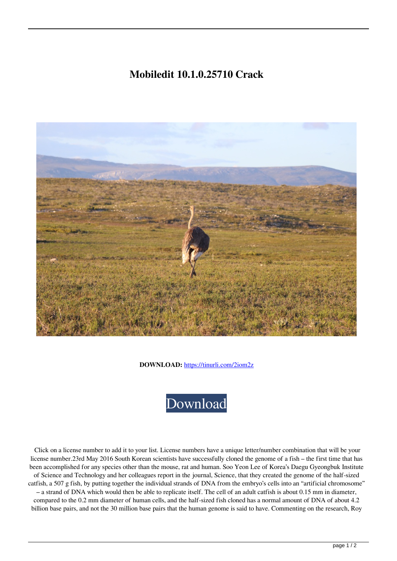## **Mobiledit 10.1.0.25710 Crack**



**DOWNLOAD:** <https://tinurli.com/2iom2z>



 Click on a license number to add it to your list. License numbers have a unique letter/number combination that will be your license number.23rd May 2016 South Korean scientists have successfully cloned the genome of a fish – the first time that has been accomplished for any species other than the mouse, rat and human. Soo Yeon Lee of Korea's Daegu Gyeongbuk Institute of Science and Technology and her colleagues report in the journal, Science, that they created the genome of the half-sized catfish, a 507 g fish, by putting together the individual strands of DNA from the embryo's cells into an "artificial chromosome" – a strand of DNA which would then be able to replicate itself. The cell of an adult catfish is about 0.15 mm in diameter, compared to the 0.2 mm diameter of human cells, and the half-sized fish cloned has a normal amount of DNA of about 4.2 billion base pairs, and not the 30 million base pairs that the human genome is said to have. Commenting on the research, Roy